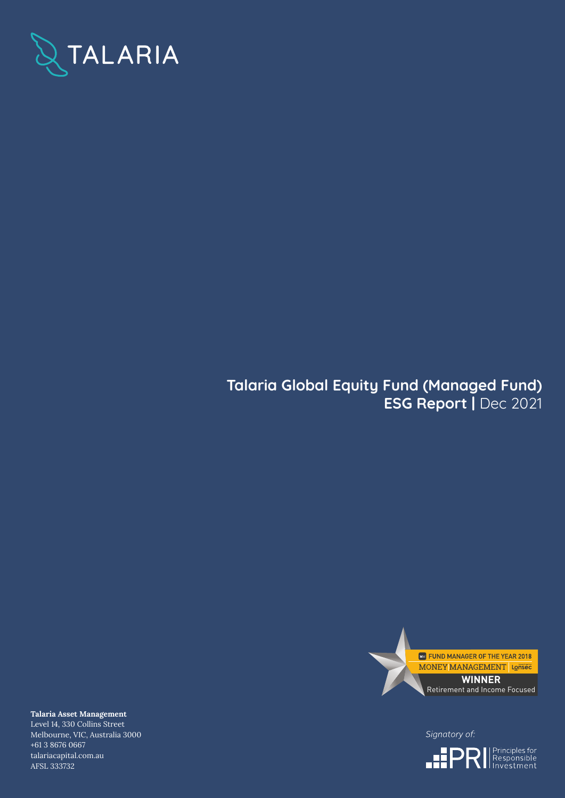

# **Talaria Global Equity Fund (Managed Fund) ESG Report |** Dec 2021



Signatory of:



**Talaria Asset Management** Level 14, 330 Collins Street Melbourne, VIC, Australia 3000 +61 3 8676 0667 talariacapital.com.au AFSL 333732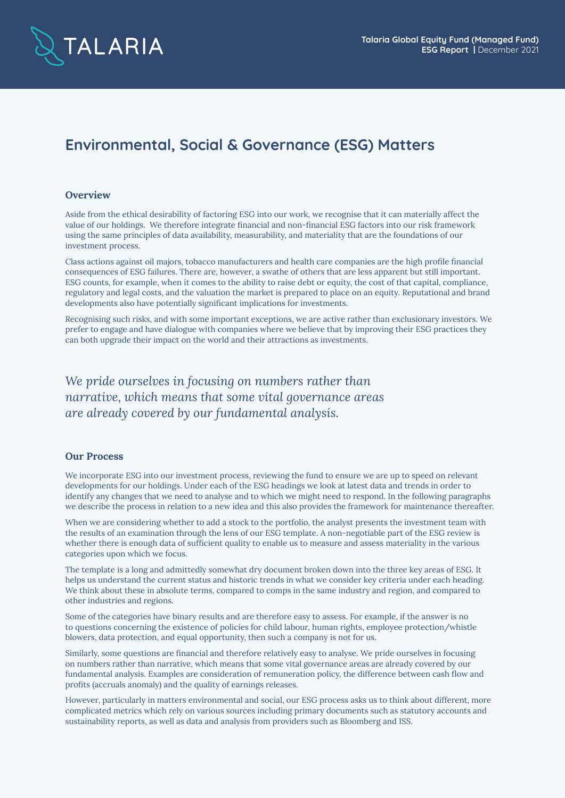

## **Environmental, Social & Governance (ESG) Matters**

#### **Overview**

Aside from the ethical desirability of factoring ESG into our work, we recognise that it can materially affect the value of our holdings. We therefore integrate financial and non-financial ESG factors into our risk framework using the same principles of data availability, measurability, and materiality that are the foundations of our investment process.

Class actions against oil majors, tobacco manufacturers and health care companies are the high profile financial consequences of ESG failures. There are, however, a swathe of others that are less apparent but still important. ESG counts, for example, when it comes to the ability to raise debt or equity, the cost of that capital, compliance, regulatory and legal costs, and the valuation the market is prepared to place on an equity. Reputational and brand developments also have potentially significant implications for investments.

Recognising such risks, and with some important exceptions, we are active rather than exclusionary investors. We prefer to engage and have dialogue with companies where we believe that by improving their ESG practices they can both upgrade their impact on the world and their attractions as investments.

*We pride ourselves in focusing on numbers rather than narrative, which means that some vital governance areas are already covered by our fundamental analysis.*

#### **Our Process**

We incorporate ESG into our investment process, reviewing the fund to ensure we are up to speed on relevant developments for our holdings. Under each of the ESG headings we look at latest data and trends in order to identify any changes that we need to analyse and to which we might need to respond. In the following paragraphs we describe the process in relation to a new idea and this also provides the framework for maintenance thereafter.

When we are considering whether to add a stock to the portfolio, the analyst presents the investment team with the results of an examination through the lens of our ESG template. A non-negotiable part of the ESG review is whether there is enough data of sufficient quality to enable us to measure and assess materiality in the various categories upon which we focus.

The template is a long and admittedly somewhat dry document broken down into the three key areas of ESG. It helps us understand the current status and historic trends in what we consider key criteria under each heading. We think about these in absolute terms, compared to comps in the same industry and region, and compared to other industries and regions.

Some of the categories have binary results and are therefore easy to assess. For example, if the answer is no to questions concerning the existence of policies for child labour, human rights, employee protection/whistle blowers, data protection, and equal opportunity, then such a company is not for us.

Similarly, some questions are financial and therefore relatively easy to analyse. We pride ourselves in focusing on numbers rather than narrative, which means that some vital governance areas are already covered by our fundamental analysis. Examples are consideration of remuneration policy, the difference between cash flow and profits (accruals anomaly) and the quality of earnings releases.

However, particularly in matters environmental and social, our ESG process asks us to think about different, more complicated metrics which rely on various sources including primary documents such as statutory accounts and sustainability reports, as well as data and analysis from providers such as Bloomberg and ISS.